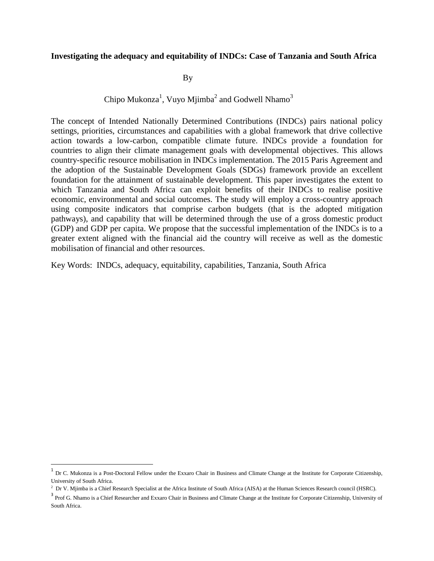#### **Investigating the adequacy and equitability of INDCs: Case of Tanzania and South Africa**

By

#### Chipo Mukonza<sup>1</sup>, Vuyo Mjimba<sup>2</sup> and Godwell Nhamo<sup>3</sup>

The concept of Intended Nationally Determined Contributions (INDCs) pairs national policy settings, priorities, circumstances and capabilities with a global framework that drive collective action towards a low-carbon, compatible climate future. INDCs provide a foundation for countries to align their climate management goals with developmental objectives. This allows country-specific resource mobilisation in INDCs implementation. The 2015 Paris Agreement and the adoption of the Sustainable Development Goals (SDGs) framework provide an excellent foundation for the attainment of sustainable development. This paper investigates the extent to which Tanzania and South Africa can exploit benefits of their INDCs to realise positive economic, environmental and social outcomes. The study will employ a cross-country approach using composite indicators that comprise carbon budgets (that is the adopted mitigation pathways), and capability that will be determined through the use of a gross domestic product (GDP) and GDP per capita. We propose that the successful implementation of the INDCs is to a greater extent aligned with the financial aid the country will receive as well as the domestic mobilisation of financial and other resources.

Key Words: INDCs, adequacy, equitability, capabilities, Tanzania, South Africa

 $\overline{a}$ 

 $1$  Dr C. Mukonza is a Post-Doctoral Fellow under the Exxaro Chair in Business and Climate Change at the Institute for Corporate Citizenship, University of South Africa.

<sup>&</sup>lt;sup>2</sup> Dr V. Mjimba is a Chief Research Specialist at the Africa Institute of South Africa (AISA) at the Human Sciences Research council (HSRC).

<sup>&</sup>lt;sup>3</sup> Prof G. Nhamo is a Chief Researcher and Exxaro Chair in Business and Climate Change at the Institute for Corporate Citizenship, University of South Africa.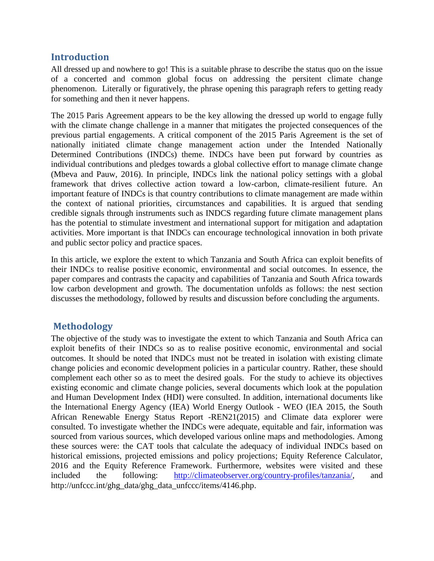## **Introduction**

All dressed up and nowhere to go! This is a suitable phrase to describe the status quo on the issue of a concerted and common global focus on addressing the persitent climate change phenomenon. Literally or figuratively, the phrase opening this paragraph refers to getting ready for something and then it never happens.

The 2015 Paris Agreement appears to be the key allowing the dressed up world to engage fully with the climate change challenge in a manner that mitigates the projected consequences of the previous partial engagements. A critical component of the 2015 Paris Agreement is the set of nationally initiated climate change management action under the Intended Nationally Determined Contributions (INDCs) theme. INDCs have been put forward by countries as individual contributions and pledges towards a global collective effort to manage climate change (Mbeva and Pauw, 2016). In principle, INDCs link the national policy settings with a global framework that drives collective action toward a low-carbon, climate-resilient future. An important feature of INDCs is that country contributions to climate management are made within the context of national priorities, circumstances and capabilities. It is argued that sending credible signals through instruments such as INDCS regarding future climate management plans has the potential to stimulate investment and international support for mitigation and adaptation activities. More important is that INDCs can encourage technological innovation in both private and public sector policy and practice spaces.

In this article, we explore the extent to which Tanzania and South Africa can exploit benefits of their INDCs to realise positive economic, environmental and social outcomes. In essence, the paper compares and contrasts the capacity and capabilities of Tanzania and South Africa towards low carbon development and growth. The documentation unfolds as follows: the nest section discusses the methodology, followed by results and discussion before concluding the arguments.

# **Methodology**

The objective of the study was to investigate the extent to which Tanzania and South Africa can exploit benefits of their INDCs so as to realise positive economic, environmental and social outcomes. It should be noted that INDCs must not be treated in isolation with existing climate change policies and economic development policies in a particular country. Rather, these should complement each other so as to meet the desired goals. For the study to achieve its objectives existing economic and climate change policies, several documents which look at the population and Human Development Index (HDI) were consulted. In addition, international documents like the International Energy Agency (IEA) World Energy Outlook - WEO (IEA 2015, the South African Renewable Energy Status Report -REN21(2015) and Climate data explorer were consulted. To investigate whether the INDCs were adequate, equitable and fair, information was sourced from various sources, which developed various online maps and methodologies. Among these sources were: the CAT tools that calculate the adequacy of individual INDCs based on historical emissions, projected emissions and policy projections; Equity Reference Calculator, 2016 and the Equity Reference Framework. Furthermore, websites were visited and these included the following: [http://climateobserver.org/country-profiles/tanzania/,](http://climateobserver.org/country-profiles/tanzania/) and http://unfccc.int/ghg\_data/ghg\_data\_unfccc/items/4146.php.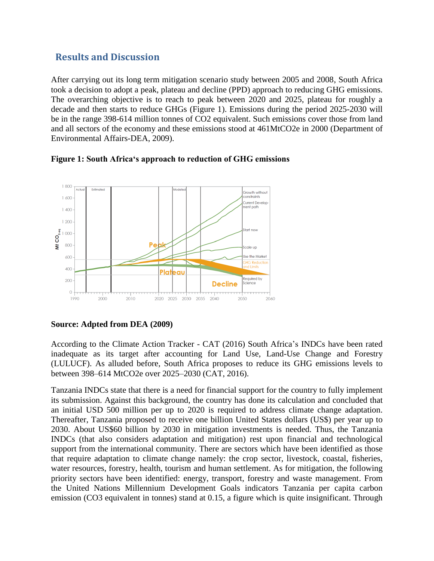## **Results and Discussion**

After carrying out its long term mitigation scenario study between 2005 and 2008, South Africa took a decision to adopt a peak, plateau and decline (PPD) approach to reducing GHG emissions. The overarching objective is to reach to peak between 2020 and 2025, plateau for roughly a decade and then starts to reduce GHGs (Figure 1). Emissions during the period 2025-2030 will be in the range 398-614 million tonnes of CO2 equivalent. Such emissions cover those from land and all sectors of the economy and these emissions stood at 461MtCO2e in 2000 (Department of Environmental Affairs-DEA, 2009).





#### **Source: Adpted from DEA (2009)**

According to the Climate Action Tracker - CAT (2016) South Africa's INDCs have been rated inadequate as its target after accounting for Land Use, Land-Use Change and Forestry (LULUCF). As alluded before, South Africa proposes to reduce its GHG emissions levels to between 398–614 MtCO2e over 2025–2030 (CAT, 2016).

Tanzania INDCs state that there is a need for financial support for the country to fully implement its submission. Against this background, the country has done its calculation and concluded that an initial USD 500 million per up to 2020 is required to address climate change adaptation. Thereafter, Tanzania proposed to receive one billion United States dollars (US\$) per year up to 2030. About US\$60 billion by 2030 in mitigation investments is needed. Thus, the Tanzania INDCs (that also considers adaptation and mitigation) rest upon financial and technological support from the international community. There are sectors which have been identified as those that require adaptation to climate change namely: the crop sector, livestock, coastal, fisheries, water resources, forestry, health, tourism and human settlement. As for mitigation, the following priority sectors have been identified: energy, transport, forestry and waste management. From the United Nations Millennium Development Goals indicators Tanzania per capita carbon emission (CO3 equivalent in tonnes) stand at 0.15, a figure which is quite insignificant. Through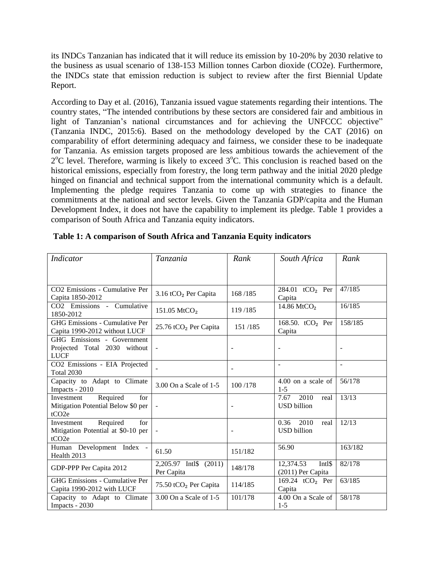its INDCs Tanzanian has indicated that it will reduce its emission by 10-20% by 2030 relative to the business as usual scenario of 138-153 Million tonnes Carbon dioxide (CO2e). Furthermore, the INDCs state that emission reduction is subject to review after the first Biennial Update Report.

According to Day et al. (2016), Tanzania issued vague statements regarding their intentions. The country states, "The intended contributions by these sectors are considered fair and ambitious in light of Tanzanian's national circumstances and for achieving the UNFCCC objective" (Tanzania INDC, 2015:6). Based on the methodology developed by the CAT (2016) on comparability of effort determining adequacy and fairness, we consider these to be inadequate for Tanzania. As emission targets proposed are less ambitious towards the achievement of the 2<sup>o</sup>C level. Therefore, warming is likely to exceed 3<sup>o</sup>C. This conclusion is reached based on the historical emissions, especially from forestry, the long term pathway and the initial 2020 pledge hinged on financial and technical support from the international community which is a default. Implementing the pledge requires Tanzania to come up with strategies to finance the commitments at the national and sector levels. Given the Tanzania GDP/capita and the Human Development Index, it does not have the capability to implement its pledge. Table 1 provides a comparison of South Africa and Tanzania equity indicators.

| <b>Indicator</b>                                                                         | <b>Tanzania</b>                         | Rank                     | South Africa                               | Rank    |
|------------------------------------------------------------------------------------------|-----------------------------------------|--------------------------|--------------------------------------------|---------|
|                                                                                          |                                         |                          |                                            |         |
| CO2 Emissions - Cumulative Per<br>Capita 1850-2012                                       | 3.16 tCO <sub>2</sub> Per Capita        | 168/185                  | 284.01 tCO <sub>2</sub> Per<br>Capita      | 47/185  |
| CO2 Emissions - Cumulative<br>1850-2012                                                  | 151.05 MtCO <sub>2</sub>                | 119/185                  | 14.86 MtCO <sub>2</sub>                    | 16/185  |
| <b>GHG Emissions - Cumulative Per</b><br>Capita 1990-2012 without LUCF                   | 25.76 tCO <sub>2</sub> Per Capita       | 151/185                  | 168.50. tCO <sub>2</sub> Per<br>Capita     | 158/185 |
| GHG Emissions - Government<br>Projected Total 2030 without<br><b>LUCF</b>                |                                         |                          |                                            |         |
| CO2 Emissions - EIA Projected<br><b>Total 2030</b>                                       |                                         |                          | $\overline{\phantom{a}}$                   | $\sim$  |
| Capacity to Adapt to Climate<br>Impacts - 2010                                           | 3.00 On a Scale of 1-5                  | 100/178                  | 4.00 on a scale of<br>$1 - 5$              | 56/178  |
| Required<br>for<br>Investment<br>Mitigation Potential Below \$0 per<br>tCO <sub>2e</sub> |                                         | $\overline{\phantom{a}}$ | 7.67<br>2010<br>real<br><b>USD</b> billion | 13/13   |
| Required<br>Investment<br>for<br>Mitigation Potential at \$0-10 per<br>tCO <sub>2e</sub> |                                         | $\blacksquare$           | 0.36<br>2010<br>real<br><b>USD</b> billion | 12/13   |
| Human Development Index -<br>Health 2013                                                 | 61.50                                   | 151/182                  | 56.90                                      | 163/182 |
| GDP-PPP Per Capita 2012                                                                  | 2,205.97 Intl\$<br>(2011)<br>Per Capita | 148/178                  | 12,374.53<br>Intl\$<br>(2011) Per Capita   | 82/178  |
| GHG Emissions - Cumulative Per<br>Capita 1990-2012 with LUCF                             | 75.50 tCO <sub>2</sub> Per Capita       | 114/185                  | 169.24 tCO <sub>2</sub> Per<br>Capita      | 63/185  |
| Capacity to Adapt to Climate<br>Impacts - 2030                                           | 3.00 On a Scale of 1-5                  | 101/178                  | 4.00 On a Scale of<br>$1-5$                | 58/178  |

**Table 1: A comparison of South Africa and Tanzania Equity indicators**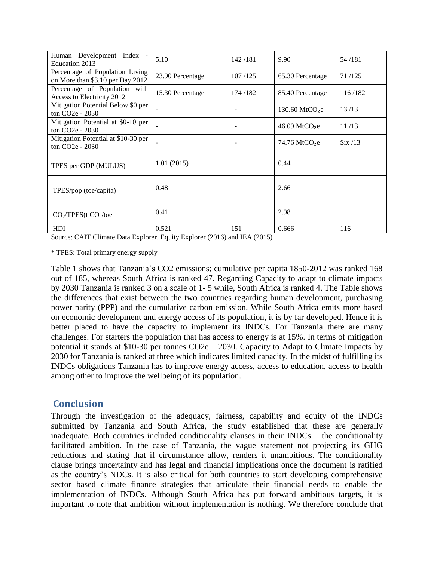| Human Development Index -<br>Education 2013                         | 5.10             | 142/181 | 9.90                        | 54/181       |
|---------------------------------------------------------------------|------------------|---------|-----------------------------|--------------|
| Percentage of Population Living<br>on More than \$3.10 per Day 2012 | 23.90 Percentage | 107/125 | 65.30 Percentage            | 71/125       |
| Percentage of Population with<br>Access to Electricity 2012         | 15.30 Percentage | 174/182 | 85.40 Percentage            | 116/182      |
| Mitigation Potential Below \$0 per<br>ton $CO2e - 2030$             |                  |         | 130.60 MtCO <sub>2</sub> e  | 13/13        |
| Mitigation Potential at \$0-10 per<br>ton CO <sub>2</sub> e - 2030  |                  |         | $46.09$ MtCO <sub>2</sub> e | 11/13        |
| Mitigation Potential at \$10-30 per<br>ton CO <sub>2</sub> e - 2030 |                  |         | $74.76 \text{ MtCO}_2$ e    | $\rm Six/13$ |
| TPES per GDP (MULUS)                                                | 1.01(2015)       |         | 0.44                        |              |
| TPES/pop (toe/capita)                                               | 0.48             |         | 2.66                        |              |
| $CO2/TPES(t CO2/toe)$                                               | 0.41             |         | 2.98                        |              |
| <b>HDI</b>                                                          | 0.521            | 151     | 0.666                       | 116          |

Source: CAIT Climate Data Explorer, Equity Explorer (2016) and IEA (2015)

\* TPES: Total primary energy supply

Table 1 shows that Tanzania's CO2 emissions; cumulative per capita 1850-2012 was ranked 168 out of 185, whereas South Africa is ranked 47. Regarding Capacity to adapt to climate impacts by 2030 Tanzania is ranked 3 on a scale of 1- 5 while, South Africa is ranked 4. The Table shows the differences that exist between the two countries regarding human development, purchasing power parity (PPP) and the cumulative carbon emission. While South Africa emits more based on economic development and energy access of its population, it is by far developed. Hence it is better placed to have the capacity to implement its INDCs. For Tanzania there are many challenges. For starters the population that has access to energy is at 15%. In terms of mitigation potential it stands at \$10-30 per tonnes CO2e – 2030. Capacity to Adapt to Climate Impacts by 2030 for Tanzania is ranked at three which indicates limited capacity. In the midst of fulfilling its INDCs obligations Tanzania has to improve energy access, access to education, access to health among other to improve the wellbeing of its population.

#### **Conclusion**

Through the investigation of the adequacy, fairness, capability and equity of the INDCs submitted by Tanzania and South Africa, the study established that these are generally inadequate. Both countries included conditionality clauses in their INDCs – the conditionality facilitated ambition. In the case of Tanzania, the vague statement not projecting its GHG reductions and stating that if circumstance allow, renders it unambitious. The conditionality clause brings uncertainty and has legal and financial implications once the document is ratified as the country's NDCs. It is also critical for both countries to start developing comprehensive sector based climate finance strategies that articulate their financial needs to enable the implementation of INDCs. Although South Africa has put forward ambitious targets, it is important to note that ambition without implementation is nothing. We therefore conclude that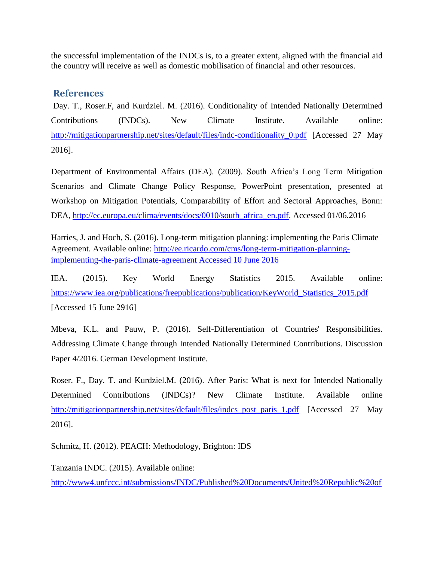the successful implementation of the INDCs is, to a greater extent, aligned with the financial aid the country will receive as well as domestic mobilisation of financial and other resources.

## **References**

Day. T., Roser.F, and Kurdziel. M. (2016). Conditionality of Intended Nationally Determined Contributions (INDCs). New Climate Institute. Available online: [http://mitigationpartnership.net/sites/default/files/indc-conditionality\\_0.pdf](http://mitigationpartnership.net/sites/default/files/indc-conditionality_0.pdf) [Accessed 27 May 2016].

Department of Environmental Affairs (DEA). (2009). South Africa's Long Term Mitigation Scenarios and Climate Change Policy Response, PowerPoint presentation, presented at Workshop on Mitigation Potentials, Comparability of Effort and Sectoral Approaches, Bonn: DEA, [http://ec.europa.eu/clima/events/docs/0010/south\\_africa\\_en.pdf.](http://ec.europa.eu/clima/events/docs/0010/south_africa_en.pdf) Accessed 01/06.2016

Harries, J. and Hoch, S. (2016). Long-term mitigation planning: implementing the Paris Climate Agreement. Available online: [http://ee.ricardo.com/cms/long-term-mitigation-planning](http://ee.ricardo.com/cms/long-term-mitigation-planning-implementing-the-paris-climate-agreement%20Accessed%2010%20June%202016)[implementing-the-paris-climate-agreement Accessed 10 June 2016](http://ee.ricardo.com/cms/long-term-mitigation-planning-implementing-the-paris-climate-agreement%20Accessed%2010%20June%202016)

IEA. (2015). Key World Energy Statistics 2015. Available online: [https://www.iea.org/publications/freepublications/publication/KeyWorld\\_Statistics\\_2015.pdf](https://www.iea.org/publications/freepublications/publication/KeyWorld_Statistics_2015.pdf) [Accessed 15 June 2916]

Mbeva, K.L. and Pauw, P. (2016). Self-Differentiation of Countries' Responsibilities. Addressing Climate Change through Intended Nationally Determined Contributions. Discussion Paper 4/2016. German Development Institute.

Roser. F., Day. T. and Kurdziel.M. (2016). After Paris: What is next for Intended Nationally Determined Contributions (INDCs)? New Climate Institute. Available online [http://mitigationpartnership.net/sites/default/files/indcs\\_post\\_paris\\_1.pdf](http://mitigationpartnership.net/sites/default/files/indcs_post_paris_1.pdf) [Accessed 27 May 2016].

Schmitz, H. (2012). PEACH: Methodology, Brighton: IDS

Tanzania INDC. (2015). Available online:

[http://www4.unfccc.int/submissions/INDC/Published%20Documents/United%20Republic%20of](http://www4.unfccc.int/submissions/INDC/Published%20Documents/United%20Republic%20of%20Tanzania%E2%80%8B/1/INDCs_The%20United%20Republic%20of%20Tanzania.pdf)